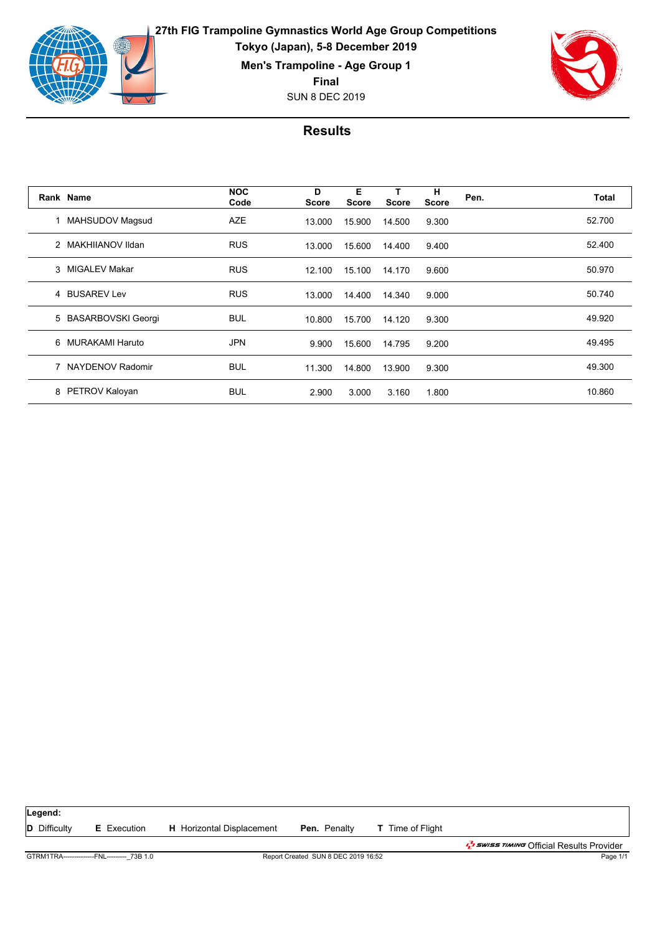

**27th FIG Trampoline Gymnastics World Age Group Competitions Tokyo (Japan), 5-8 December 2019**

**Men's Trampoline - Age Group 1**

**Final**

SUN 8 DEC 2019



|               | Rank Name            | <b>NOC</b><br>Code | D<br><b>Score</b> | Е<br><b>Score</b> | <b>Score</b> | н<br><b>Score</b> | Pen. | Total  |
|---------------|----------------------|--------------------|-------------------|-------------------|--------------|-------------------|------|--------|
|               | 1 MAHSUDOV Magsud    | <b>AZE</b>         | 13.000            | 15.900            | 14.500       | 9.300             |      | 52.700 |
|               | 2 MAKHIIANOV Ildan   | <b>RUS</b>         | 13.000            | 15.600            | 14.400       | 9.400             |      | 52.400 |
| $\mathcal{S}$ | MIGALEV Makar        | <b>RUS</b>         | 12.100            | 15.100            | 14.170       | 9.600             |      | 50.970 |
|               | 4 BUSAREV Lev        | <b>RUS</b>         | 13.000            | 14.400            | 14.340       | 9.000             |      | 50.740 |
|               | 5 BASARBOVSKI Georgi | <b>BUL</b>         | 10.800            | 15.700            | 14.120       | 9.300             |      | 49.920 |
| 6             | MURAKAMI Haruto      | <b>JPN</b>         | 9.900             | 15.600            | 14.795       | 9.200             |      | 49.495 |
|               | 7 NAYDENOV Radomir   | <b>BUL</b>         | 11.300            | 14.800            | 13.900       | 9.300             |      | 49.300 |
| 8             | PETROV Kaloyan       | <b>BUL</b>         | 2.900             | 3.000             | 3.160        | 1.800             |      | 10.860 |

| Legend:                                     |                    |                                     |                     |                         |                                                                     |
|---------------------------------------------|--------------------|-------------------------------------|---------------------|-------------------------|---------------------------------------------------------------------|
| <b>D</b> Difficulty                         | <b>E</b> Execution | <b>H</b> Horizontal Displacement    | <b>Pen.</b> Penalty | <b>T</b> Time of Flight |                                                                     |
|                                             |                    |                                     |                     |                         | ב <i>ו ב<sup>ד</sup>י באשב ד. האוואד O</i> fficial Results Provider |
| GTRM1TRA---------------FNL--------- 73B 1.0 |                    | Report Created SUN 8 DEC 2019 16:52 | Page 1/1            |                         |                                                                     |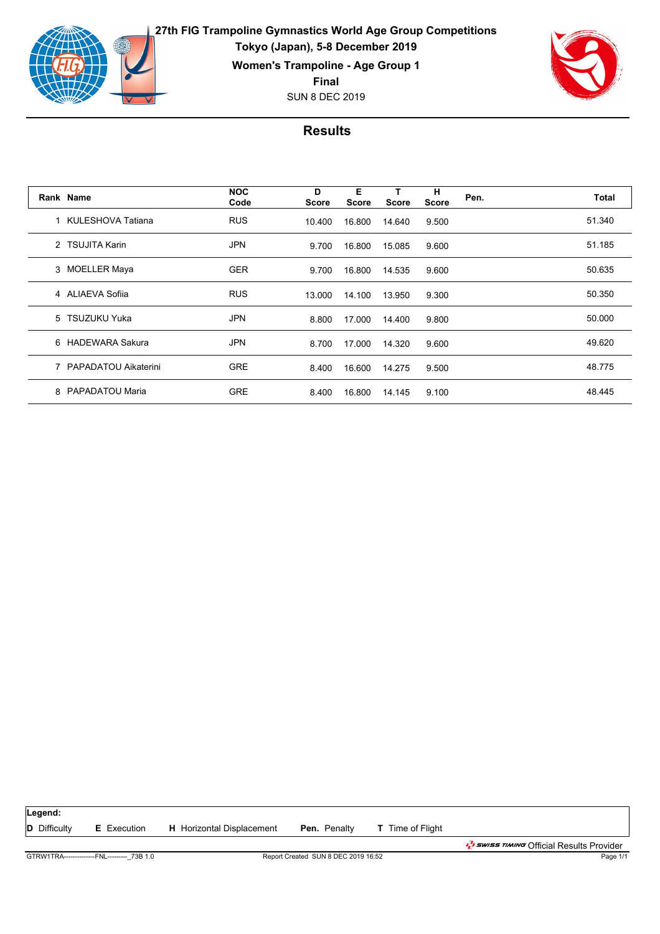

**27th FIG Trampoline Gymnastics World Age Group Competitions Tokyo (Japan), 5-8 December 2019 Women's Trampoline - Age Group 1**

**Final**

SUN 8 DEC 2019



|               | Rank Name              | <b>NOC</b><br>Code | D<br>Score | Е<br>Score | т<br><b>Score</b> | н<br><b>Score</b> | Pen. | Total  |
|---------------|------------------------|--------------------|------------|------------|-------------------|-------------------|------|--------|
|               | 1 KULESHOVA Tatiana    | <b>RUS</b>         | 10.400     | 16.800     | 14.640            | 9.500             |      | 51.340 |
| $\mathcal{P}$ | <b>TSUJITA Karin</b>   | <b>JPN</b>         | 9.700      | 16.800     | 15.085            | 9.600             |      | 51.185 |
|               | 3 MOELLER Maya         | <b>GER</b>         | 9.700      | 16.800     | 14.535            | 9.600             |      | 50.635 |
|               | 4 ALIAEVA Sofiia       | <b>RUS</b>         | 13.000     | 14.100     | 13.950            | 9.300             |      | 50.350 |
|               | 5 TSUZUKU Yuka         | <b>JPN</b>         | 8.800      | 17.000     | 14.400            | 9.800             |      | 50.000 |
|               | 6 HADEWARA Sakura      | <b>JPN</b>         | 8.700      | 17.000     | 14.320            | 9.600             |      | 49.620 |
|               | 7 PAPADATOU Aikaterini | <b>GRE</b>         | 8.400      | 16.600     | 14.275            | 9.500             |      | 48.775 |
| 8             | PAPADATOU Maria        | <b>GRE</b>         | 8.400      | 16.800     | 14.145            | 9.100             |      | 48.445 |

| Legend:                                     |                    |                                     |                     |                         |                                                                |
|---------------------------------------------|--------------------|-------------------------------------|---------------------|-------------------------|----------------------------------------------------------------|
| <b>D</b> Difficulty                         | <b>E</b> Execution | <b>H</b> Horizontal Displacement    | <b>Pen.</b> Penalty | <b>T</b> Time of Flight |                                                                |
|                                             |                    |                                     |                     |                         | ב <i>ל באואד בל</i> י <i>בוואות C</i> fficial Results Provider |
| GTRW1TRA---------------FNL--------- 73B 1.0 |                    | Report Created SUN 8 DEC 2019 16:52 | Page 1/1            |                         |                                                                |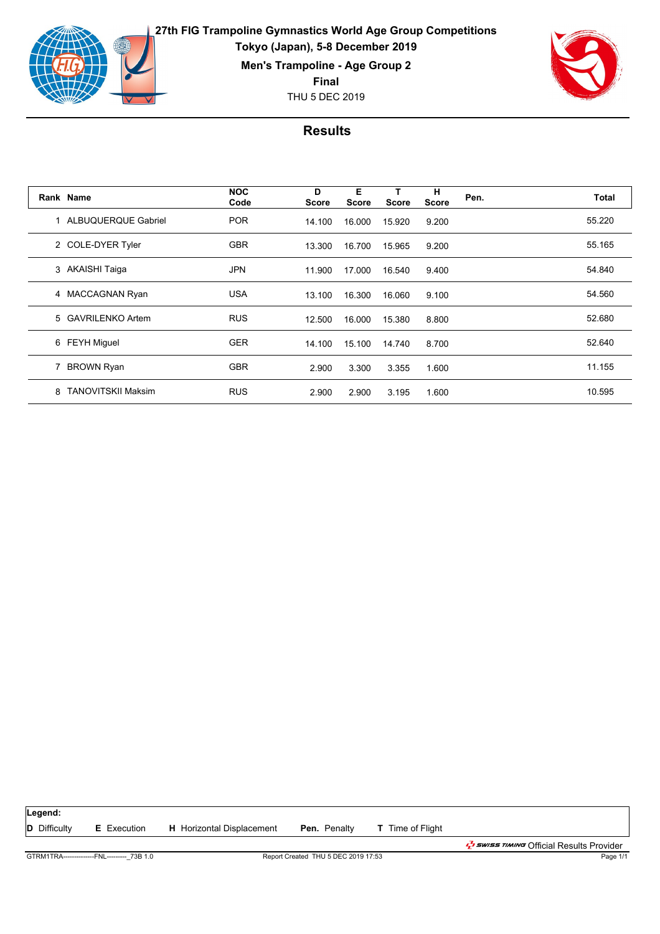

**27th FIG Trampoline Gymnastics World Age Group Competitions Tokyo (Japan), 5-8 December 2019**

**Men's Trampoline - Age Group 2**

**Final**

THU 5 DEC 2019



|   | Rank Name                 | <b>NOC</b><br>Code | D<br><b>Score</b> | Е<br><b>Score</b> | т<br><b>Score</b> | н<br><b>Score</b> | Pen. | Total  |
|---|---------------------------|--------------------|-------------------|-------------------|-------------------|-------------------|------|--------|
|   | 1 ALBUQUERQUE Gabriel     | <b>POR</b>         | 14.100            | 16.000            | 15.920            | 9.200             |      | 55.220 |
|   | 2 COLE-DYER Tyler         | <b>GBR</b>         | 13.300            | 16.700            | 15.965            | 9.200             |      | 55.165 |
|   | 3 AKAISHI Taiga           | <b>JPN</b>         | 11.900            | 17.000            | 16.540            | 9.400             |      | 54.840 |
|   | 4 MACCAGNAN Ryan          | <b>USA</b>         | 13.100            | 16.300            | 16.060            | 9.100             |      | 54.560 |
|   | 5 GAVRILENKO Artem        | <b>RUS</b>         | 12.500            | 16.000            | 15.380            | 8.800             |      | 52.680 |
|   | 6 FEYH Miguel             | <b>GER</b>         | 14.100            | 15.100            | 14.740            | 8.700             |      | 52.640 |
|   | 7 BROWN Ryan              | <b>GBR</b>         | 2.900             | 3.300             | 3.355             | 1.600             |      | 11.155 |
| 8 | <b>TANOVITSKII Maksim</b> | <b>RUS</b>         | 2.900             | 2.900             | 3.195             | 1.600             |      | 10.595 |

| Legend:                                    |                    |                                     |                     |                         |                                                                           |
|--------------------------------------------|--------------------|-------------------------------------|---------------------|-------------------------|---------------------------------------------------------------------------|
| <b>D</b> Difficulty                        | <b>E</b> Execution | <b>H</b> Horizontal Displacement    | <b>Pen.</b> Penalty | <b>T</b> Time of Flight |                                                                           |
|                                            |                    |                                     |                     |                         | ב <i>לי באוואד ב<sup>ד</sup>י Swiss דוואות O</i> fficial Results Provider |
| GTRM1TRA--------------FNL--------- 73B 1.0 |                    | Report Created THU 5 DEC 2019 17:53 | Page 1/1            |                         |                                                                           |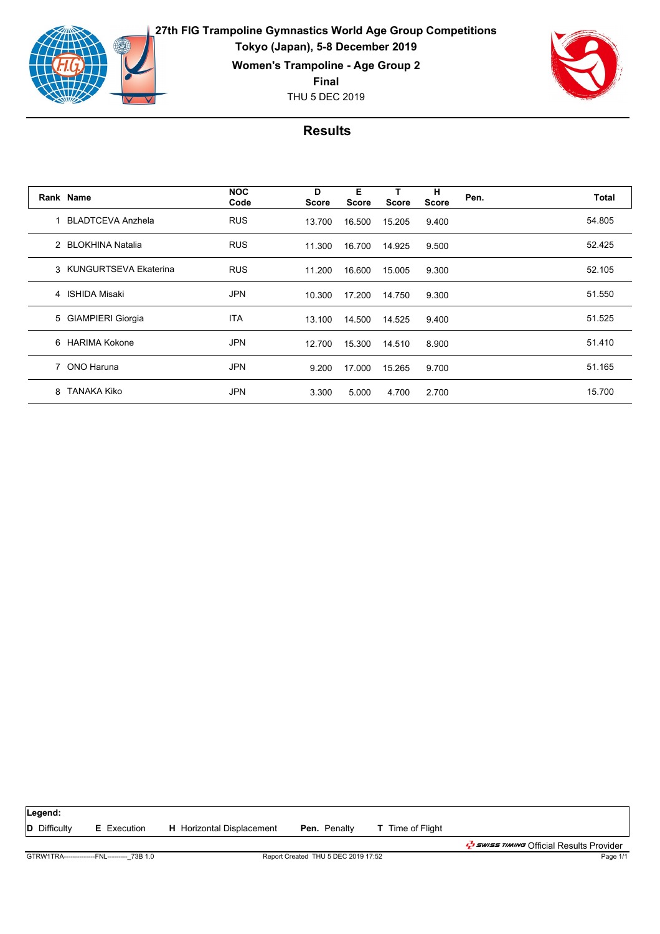

**27th FIG Trampoline Gymnastics World Age Group Competitions Tokyo (Japan), 5-8 December 2019 Women's Trampoline - Age Group 2**

**Final**

THU 5 DEC 2019



|   | Rank Name               | <b>NOC</b><br>Code | D<br>Score | Е<br><b>Score</b> | т<br><b>Score</b> | н<br><b>Score</b> | Pen. | Total  |
|---|-------------------------|--------------------|------------|-------------------|-------------------|-------------------|------|--------|
|   | 1 BLADTCEVA Anzhela     | <b>RUS</b>         | 13.700     | 16.500            | 15.205            | 9.400             |      | 54.805 |
|   | 2 BLOKHINA Natalia      | <b>RUS</b>         | 11.300     | 16.700            | 14.925            | 9.500             |      | 52.425 |
|   | 3 KUNGURTSEVA Ekaterina | <b>RUS</b>         | 11.200     | 16.600            | 15.005            | 9.300             |      | 52.105 |
|   | 4 ISHIDA Misaki         | <b>JPN</b>         | 10.300     | 17.200            | 14.750            | 9.300             |      | 51.550 |
|   | 5 GIAMPIERI Giorgia     | <b>ITA</b>         | 13.100     | 14.500            | 14.525            | 9.400             |      | 51.525 |
|   | 6 HARIMA Kokone         | <b>JPN</b>         | 12.700     | 15.300            | 14.510            | 8.900             |      | 51.410 |
|   | 7 ONO Haruna            | <b>JPN</b>         | 9.200      | 17.000            | 15.265            | 9.700             |      | 51.165 |
| 8 | TANAKA Kiko             | <b>JPN</b>         | 3.300      | 5.000             | 4.700             | 2.700             |      | 15.700 |

| Legend:             |                                             |                                  |                                     |                         |                                             |
|---------------------|---------------------------------------------|----------------------------------|-------------------------------------|-------------------------|---------------------------------------------|
| <b>D</b> Difficulty | <b>E</b> Execution                          | <b>H</b> Horizontal Displacement | <b>Pen.</b> Penalty                 | <b>T</b> Time of Flight |                                             |
|                     |                                             |                                  |                                     |                         | ב <i>ל באוואד (Sticial Results Provider</i> |
|                     | GTRW1TRA---------------FNL--------- 73B 1.0 |                                  | Report Created THU 5 DEC 2019 17:52 |                         | Page 1/1                                    |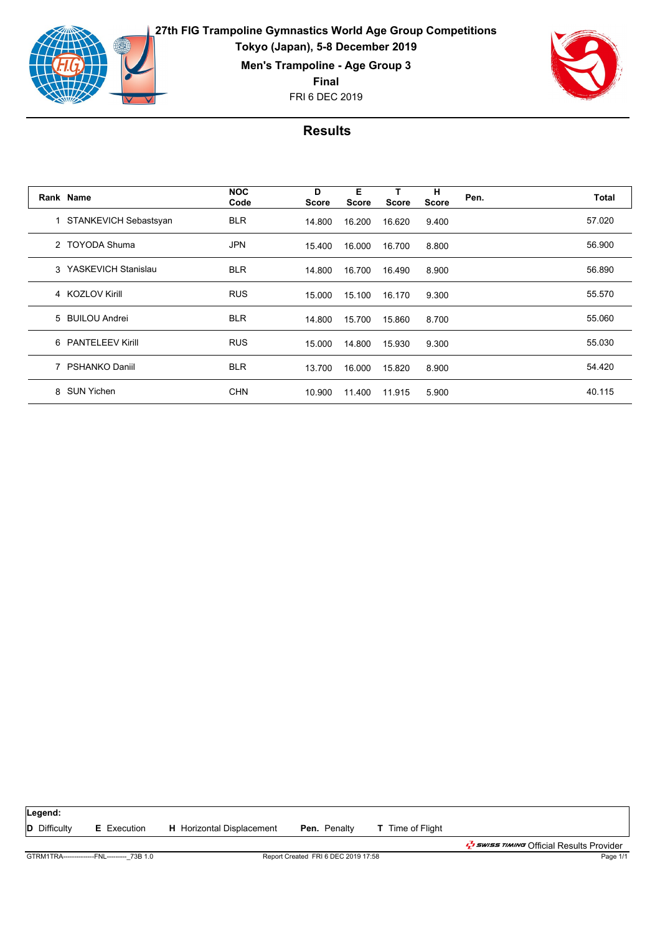

**27th FIG Trampoline Gymnastics World Age Group Competitions Tokyo (Japan), 5-8 December 2019 Men's Trampoline - Age Group 3**

**Final**

FRI 6 DEC 2019



|   | Rank Name             | <b>NOC</b><br>Code | D<br><b>Score</b> | Е<br><b>Score</b> | <b>Score</b> | н<br><b>Score</b> | Pen. | Total  |
|---|-----------------------|--------------------|-------------------|-------------------|--------------|-------------------|------|--------|
|   | STANKEVICH Sebastsyan | <b>BLR</b>         | 14.800            | 16.200            | 16.620       | 9.400             |      | 57.020 |
|   | 2 TOYODA Shuma        | <b>JPN</b>         | 15.400            | 16.000            | 16.700       | 8.800             |      | 56.900 |
|   | 3 YASKEVICH Stanislau | <b>BLR</b>         | 14.800            | 16.700            | 16.490       | 8.900             |      | 56.890 |
|   | 4 KOZLOV Kirill       | <b>RUS</b>         | 15.000            | 15.100            | 16.170       | 9.300             |      | 55.570 |
|   | 5 BUILOU Andrei       | <b>BLR</b>         | 14.800            | 15.700            | 15.860       | 8.700             |      | 55.060 |
|   | 6 PANTELEEV Kirill    | <b>RUS</b>         | 15.000            | 14.800            | 15.930       | 9.300             |      | 55.030 |
|   | 7 PSHANKO Daniil      | <b>BLR</b>         | 13.700            | 16.000            | 15.820       | 8.900             |      | 54.420 |
| 8 | SUN Yichen            | <b>CHN</b>         | 10.900            | 11.400            | 11.915       | 5.900             |      | 40.115 |

| Legend:             |                                             |                                     |                     |                         |                                                        |
|---------------------|---------------------------------------------|-------------------------------------|---------------------|-------------------------|--------------------------------------------------------|
| <b>D</b> Difficulty | <b>E</b> Execution                          | <b>H</b> Horizontal Displacement    | <b>Pen.</b> Penalty | <b>T</b> Time of Flight |                                                        |
|                     |                                             |                                     |                     |                         | י <i>בּל באוואד בּבּיש</i> ∈ Official Results Provider |
|                     | GTRM1TRA---------------FNL--------- 73B 1.0 | Report Created FRI 6 DEC 2019 17:58 | Page 1/1            |                         |                                                        |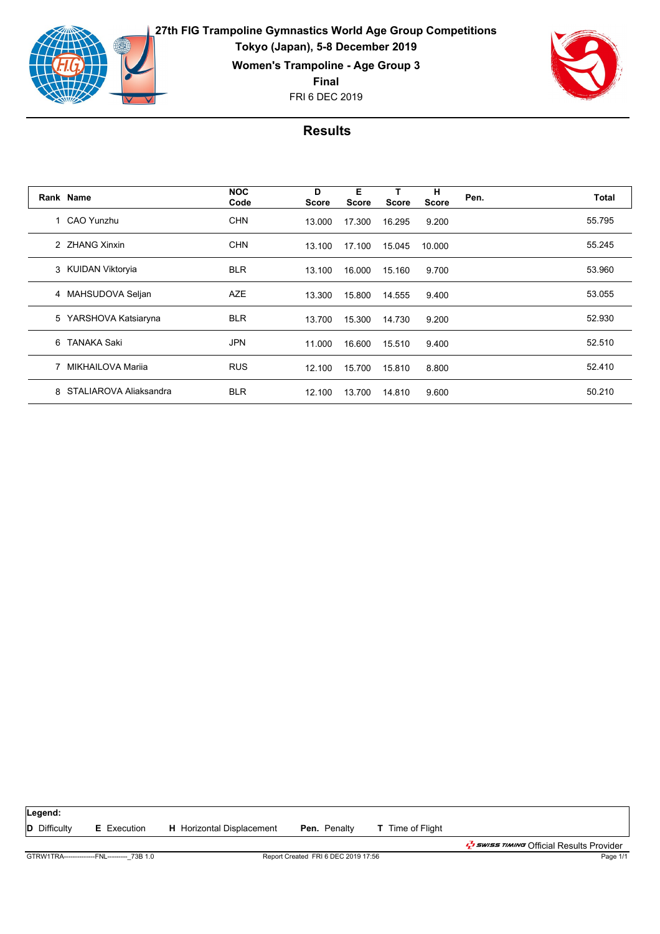



|   | Rank Name              | <b>NOC</b><br>Code | D<br><b>Score</b> | Е<br><b>Score</b> | <b>Score</b> | н<br><b>Score</b> | Pen. | Total  |
|---|------------------------|--------------------|-------------------|-------------------|--------------|-------------------|------|--------|
|   | 1 CAO Yunzhu           | <b>CHN</b>         | 13.000            | 17.300            | 16.295       | 9.200             |      | 55.795 |
|   | 2 ZHANG Xinxin         | <b>CHN</b>         | 13.100            | 17.100            | 15.045       | 10.000            |      | 55.245 |
|   | 3 KUIDAN Viktoryia     | <b>BLR</b>         | 13.100            | 16.000            | 15.160       | 9.700             |      | 53.960 |
|   | 4 MAHSUDOVA Seljan     | <b>AZE</b>         | 13.300            | 15.800            | 14.555       | 9.400             |      | 53.055 |
| 5 | YARSHOVA Katsiaryna    | <b>BLR</b>         | 13.700            | 15.300            | 14.730       | 9.200             |      | 52.930 |
| 6 | <b>TANAKA Saki</b>     | <b>JPN</b>         | 11.000            | 16.600            | 15.510       | 9.400             |      | 52.510 |
|   | MIKHAILOVA Marija      | <b>RUS</b>         | 12.100            | 15.700            | 15.810       | 8.800             |      | 52.410 |
| 8 | STALIAROVA Aliaksandra | <b>BLR</b>         | 12.100            | 13.700            | 14.810       | 9.600             |      | 50.210 |

| Legend:             |                                             |                                  |                                     |                         |                                                   |
|---------------------|---------------------------------------------|----------------------------------|-------------------------------------|-------------------------|---------------------------------------------------|
| <b>D</b> Difficulty | <b>E</b> Execution                          | <b>H</b> Horizontal Displacement | <b>Pen.</b> Penalty                 | <b>T</b> Time of Flight |                                                   |
|                     |                                             |                                  |                                     |                         | <i>לי Swiss אוואוד O</i> fficial Results Provider |
|                     | GTRW1TRA---------------FNL--------- 73B 1.0 |                                  | Report Created FRI 6 DEC 2019 17:56 |                         | Page 1/1                                          |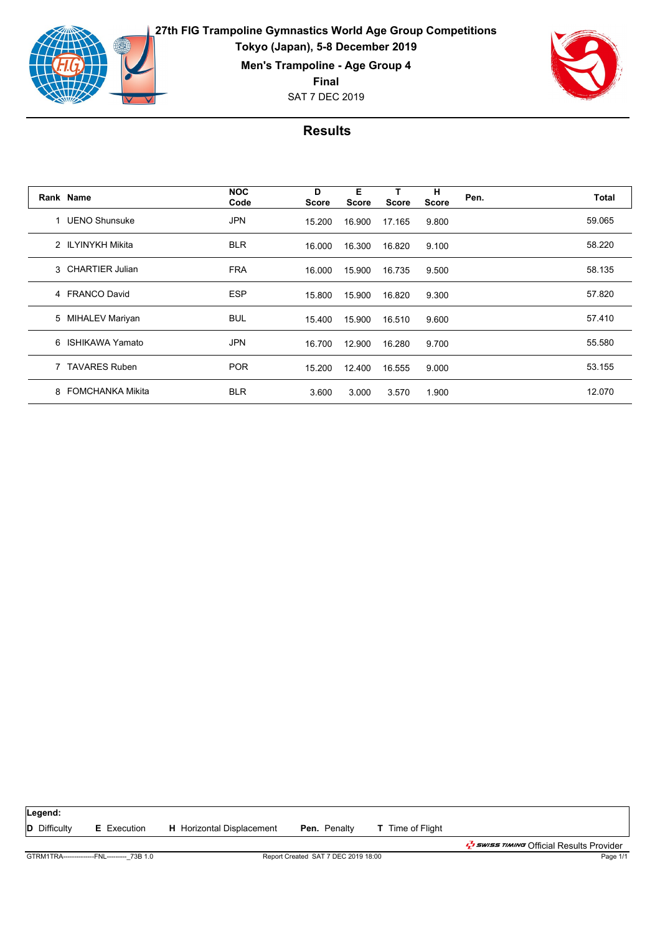

**27th FIG Trampoline Gymnastics World Age Group Competitions Tokyo (Japan), 5-8 December 2019**

**Men's Trampoline - Age Group 4**

**Final**

SAT 7 DEC 2019



|   | Rank Name               | <b>NOC</b><br>Code | D<br><b>Score</b> | Е<br><b>Score</b> | т<br><b>Score</b> | н<br><b>Score</b> | Pen. | Total  |
|---|-------------------------|--------------------|-------------------|-------------------|-------------------|-------------------|------|--------|
|   | 1 UENO Shunsuke         | <b>JPN</b>         | 15.200            | 16.900            | 17.165            | 9.800             |      | 59.065 |
|   | 2 ILYINYKH Mikita       | <b>BLR</b>         | 16.000            | 16.300            | 16.820            | 9.100             |      | 58.220 |
|   | 3 CHARTIER Julian       | <b>FRA</b>         | 16.000            | 15.900            | 16.735            | 9.500             |      | 58.135 |
|   | 4 FRANCO David          | <b>ESP</b>         | 15.800            | 15.900            | 16.820            | 9.300             |      | 57.820 |
|   | 5 MIHALEV Mariyan       | <b>BUL</b>         | 15.400            | 15.900            | 16.510            | 9.600             |      | 57.410 |
| 6 | ISHIKAWA Yamato         | <b>JPN</b>         | 16.700            | 12.900            | 16.280            | 9.700             |      | 55.580 |
|   | <b>TAVARES Ruben</b>    | <b>POR</b>         | 15.200            | 12.400            | 16.555            | 9.000             |      | 53.155 |
| 8 | <b>FOMCHANKA Mikita</b> | <b>BLR</b>         | 3.600             | 3.000             | 3.570             | 1.900             |      | 12.070 |

| Legend:                                    |                    |                                     |                     |                         |                                              |
|--------------------------------------------|--------------------|-------------------------------------|---------------------|-------------------------|----------------------------------------------|
| <b>D</b> Difficulty                        | <b>E</b> Execution | <b>H</b> Horizontal Displacement    | <b>Pen.</b> Penalty | <b>T</b> Time of Flight |                                              |
|                                            |                    |                                     |                     |                         | ב <i>ל באוואד (</i> fficial Results Provider |
| GTRM1TRA--------------FNL--------- 73B 1.0 |                    | Report Created SAT 7 DEC 2019 18:00 |                     |                         | Page 1/1                                     |